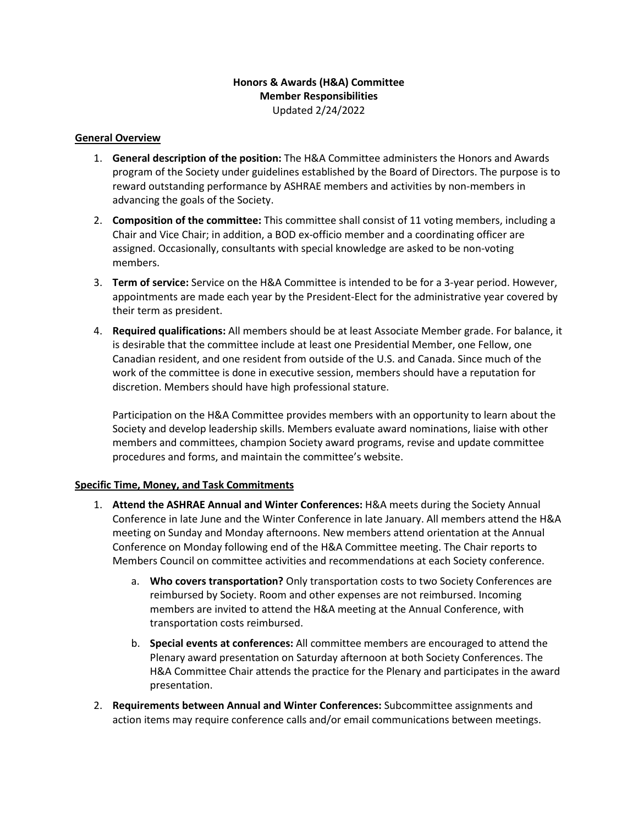## **Honors & Awards (H&A) Committee Member Responsibilities** Updated 2/24/2022

## **General Overview**

- 1. **General description of the position:** The H&A Committee administers the Honors and Awards program of the Society under guidelines established by the Board of Directors. The purpose is to reward outstanding performance by ASHRAE members and activities by non-members in advancing the goals of the Society.
- 2. **Composition of the committee:** This committee shall consist of 11 voting members, including a Chair and Vice Chair; in addition, a BOD ex-officio member and a coordinating officer are assigned. Occasionally, consultants with special knowledge are asked to be non-voting members.
- 3. **Term of service:** Service on the H&A Committee is intended to be for a 3-year period. However, appointments are made each year by the President-Elect for the administrative year covered by their term as president.
- 4. **Required qualifications:** All members should be at least Associate Member grade. For balance, it is desirable that the committee include at least one Presidential Member, one Fellow, one Canadian resident, and one resident from outside of the U.S. and Canada. Since much of the work of the committee is done in executive session, members should have a reputation for discretion. Members should have high professional stature.

Participation on the H&A Committee provides members with an opportunity to learn about the Society and develop leadership skills. Members evaluate award nominations, liaise with other members and committees, champion Society award programs, revise and update committee procedures and forms, and maintain the committee's website.

## **Specific Time, Money, and Task Commitments**

- 1. **Attend the ASHRAE Annual and Winter Conferences:** H&A meets during the Society Annual Conference in late June and the Winter Conference in late January. All members attend the H&A meeting on Sunday and Monday afternoons. New members attend orientation at the Annual Conference on Monday following end of the H&A Committee meeting. The Chair reports to Members Council on committee activities and recommendations at each Society conference.
	- a. **Who covers transportation?** Only transportation costs to two Society Conferences are reimbursed by Society. Room and other expenses are not reimbursed. Incoming members are invited to attend the H&A meeting at the Annual Conference, with transportation costs reimbursed.
	- b. **Special events at conferences:** All committee members are encouraged to attend the Plenary award presentation on Saturday afternoon at both Society Conferences. The H&A Committee Chair attends the practice for the Plenary and participates in the award presentation.
- 2. **Requirements between Annual and Winter Conferences:** Subcommittee assignments and action items may require conference calls and/or email communications between meetings.